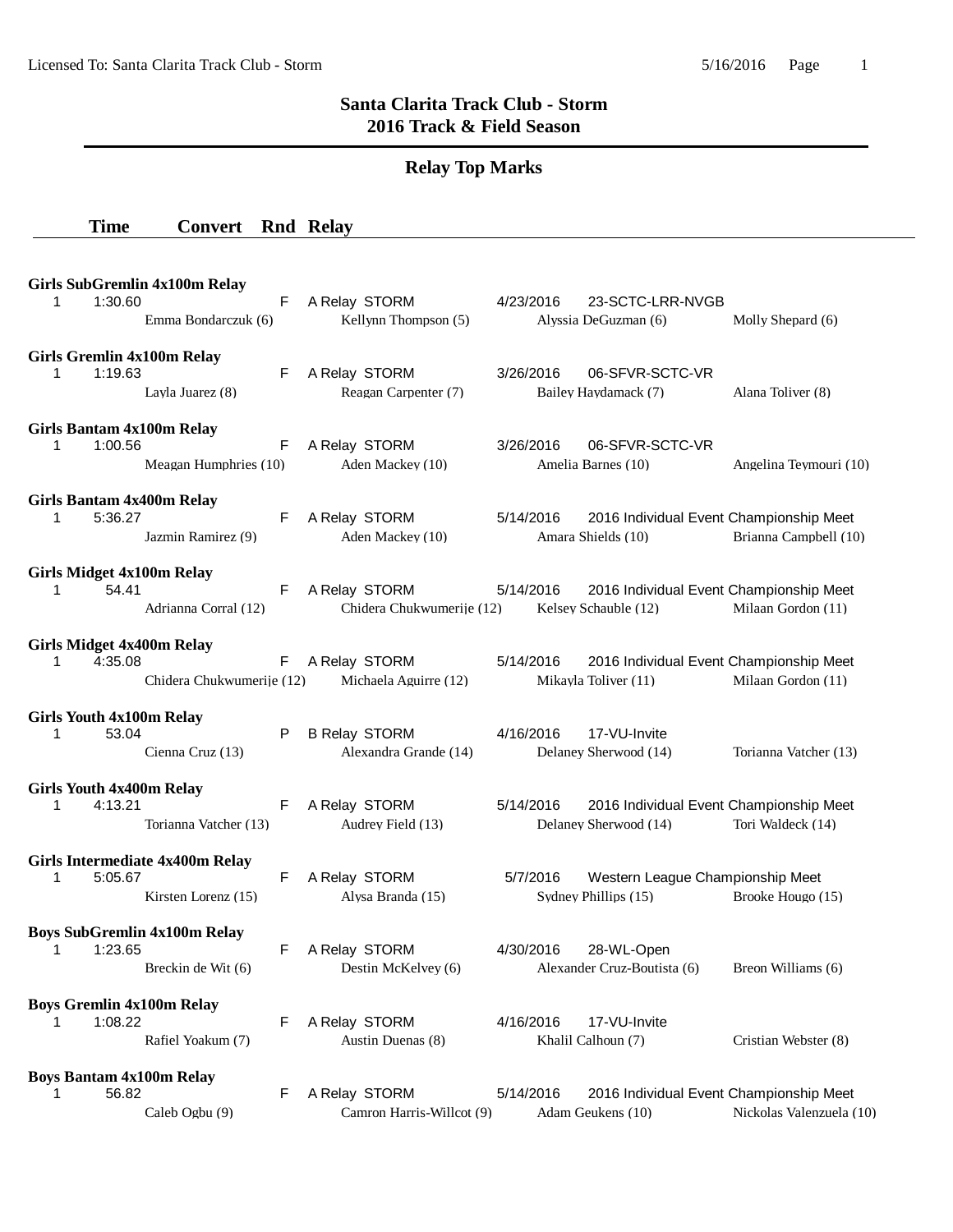## **Santa Clarita Track Club - Storm 2016 Track & Field Season**

# **Relay Top Marks**

#### **Time Convert Rnd Relay**

| <b>Girls SubGremlin 4x100m Relay</b><br>1:30.60<br>1. | Emma Bondarczuk (6)       | F  | A Relay STORM<br>4/23/2016<br>Kellynn Thompson (5)  |           |           | 23-SCTC-LRR-NVGB<br>Alyssia DeGuzman (6)                         | Molly Shepard (6)        |
|-------------------------------------------------------|---------------------------|----|-----------------------------------------------------|-----------|-----------|------------------------------------------------------------------|--------------------------|
| Girls Gremlin 4x100m Relay<br>1:19.63<br>1.           | Layla Juarez (8)          | F  | A Relay STORM<br>Reagan Carpenter (7)               | 3/26/2016 |           | 06-SFVR-SCTC-VR<br>Bailey Haydamack (7)                          | Alana Toliver (8)        |
| Girls Bantam 4x100m Relay<br>1:00.56<br>$\mathbf 1$   | Meagan Humphries (10)     | F  | A Relay STORM<br>Aden Mackey (10)                   | 3/26/2016 |           | 06-SFVR-SCTC-VR<br>Amelia Barnes (10)                            | Angelina Teymouri (10)   |
| Girls Bantam 4x400m Relay<br>5:36.27<br>1.            | Jazmin Ramirez (9)        | F  | A Relay STORM<br>Aden Mackey (10)                   |           | 5/14/2016 | 2016 Individual Event Championship Meet<br>Amara Shields (10)    | Brianna Campbell (10)    |
| <b>Girls Midget 4x100m Relay</b><br>54.41<br>1        | Adrianna Corral (12)      | F  | A Relay STORM<br>Chidera Chukwumerije (12)          |           | 5/14/2016 | 2016 Individual Event Championship Meet<br>Kelsev Schauble (12)  | Milaan Gordon (11)       |
| <b>Girls Midget 4x400m Relay</b><br>4:35.08<br>1      | Chidera Chukwumerije (12) | F. | A Relay STORM<br>5/14/2016<br>Michaela Aguirre (12) |           |           | 2016 Individual Event Championship Meet<br>Mikayla Toliver (11)  | Milaan Gordon (11)       |
| <b>Girls Youth 4x100m Relay</b><br>53.04<br>1         | Cienna Cruz (13)          | P  | <b>B Relay STORM</b><br>Alexandra Grande (14)       | 4/16/2016 |           | 17-VU-Invite<br>Delaney Sherwood (14)                            | Torianna Vatcher (13)    |
| <b>Girls Youth 4x400m Relay</b><br>4:13.21<br>1       | Torianna Vatcher (13)     | F  | A Relay STORM<br>Audrey Field (13)                  | 5/14/2016 |           | 2016 Individual Event Championship Meet<br>Delaney Sherwood (14) | Tori Waldeck (14)        |
| Girls Intermediate 4x400m Relay<br>5:05.67<br>1       | Kirsten Lorenz (15)       | F  | A Relay STORM<br>Alysa Branda (15)                  |           | 5/7/2016  | Western League Championship Meet<br>Sydney Phillips (15)         | Brooke Hougo (15)        |
| <b>Boys SubGremlin 4x100m Relay</b><br>1:23.65<br>1   | Breckin de Wit (6)        | F  | A Relay STORM<br>Destin McKelvey (6)                | 4/30/2016 |           | 28-WL-Open<br>Alexander Cruz-Boutista (6) Breon Williams (6)     |                          |
| <b>Boys Gremlin 4x100m Relay</b><br>1:08.22<br>1.     | Rafiel Yoakum (7)         | F  | A Relay STORM<br>Austin Duenas (8)                  | 4/16/2016 |           | 17-VU-Invite<br>Khalil Calhoun (7)                               | Cristian Webster (8)     |
| <b>Boys Bantam 4x100m Relay</b><br>56.82              | Caleb Ogbu (9)            | F  | A Relay STORM<br>Camron Harris-Willcot (9)          | 5/14/2016 |           | 2016 Individual Event Championship Meet<br>Adam Geukens (10)     | Nickolas Valenzuela (10) |